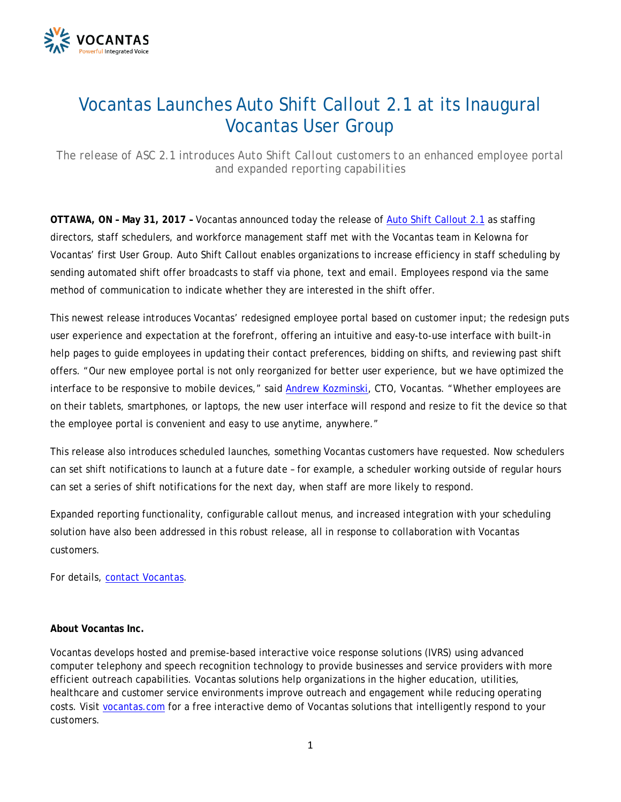

## Vocantas Launches Auto Shift Callout 2.1 at its Inaugural Vocantas User Group

*The release of ASC 2.1 introduces Auto Shift Callout customers to an enhanced employee portal and expanded reporting capabilities*

**OTTAWA, ON – May 31, 2017 –** Vocantas announced today the release of [Auto Shift Callout 2.1](http://www.vocantas.com/products-automatedshiftcallout.php) as staffing directors, staff schedulers, and workforce management staff met with the Vocantas team in Kelowna for Vocantas' first User Group. Auto Shift Callout enables organizations to increase efficiency in staff scheduling by sending automated shift offer broadcasts to staff via phone, text and email. Employees respond via the same method of communication to indicate whether they are interested in the shift offer.

This newest release introduces Vocantas' redesigned employee portal based on customer input; the redesign puts user experience and expectation at the forefront, offering an intuitive and easy-to-use interface with built-in help pages to guide employees in updating their contact preferences, bidding on shifts, and reviewing past shift offers. "Our new employee portal is not only reorganized for better user experience, but we have optimized the interface to be responsive to mobile devices," said [Andrew Kozminski,](http://www.vocantas.com/company-management-team.php) CTO, Vocantas. "Whether employees are on their tablets, smartphones, or laptops, the new user interface will respond and resize to fit the device so that the employee portal is convenient and easy to use anytime, anywhere."

This release also introduces scheduled launches, something Vocantas customers have requested. Now schedulers can set shift notifications to launch at a future date – for example, a scheduler working outside of regular hours can set a series of shift notifications for the next day, when staff are more likely to respond.

Expanded reporting functionality, configurable callout menus, and increased integration with your scheduling solution have also been addressed in this robust release, all in response to collaboration with Vocantas customers.

For details, [contact Vocantas.](mailto:sales@vocantas.com)

## **About Vocantas Inc.**

Vocantas develops hosted and premise-based interactive voice response solutions (IVRS) using advanced computer telephony and speech recognition technology to provide businesses and service providers with more efficient outreach capabilities. Vocantas solutions help organizations in the higher education, utilities, healthcare and customer service environments improve outreach and engagement while reducing operating costs. Visit [vocantas.com](http://www.vocantas.com/index.php) for a free interactive demo of Vocantas solutions that intelligently respond to your customers.